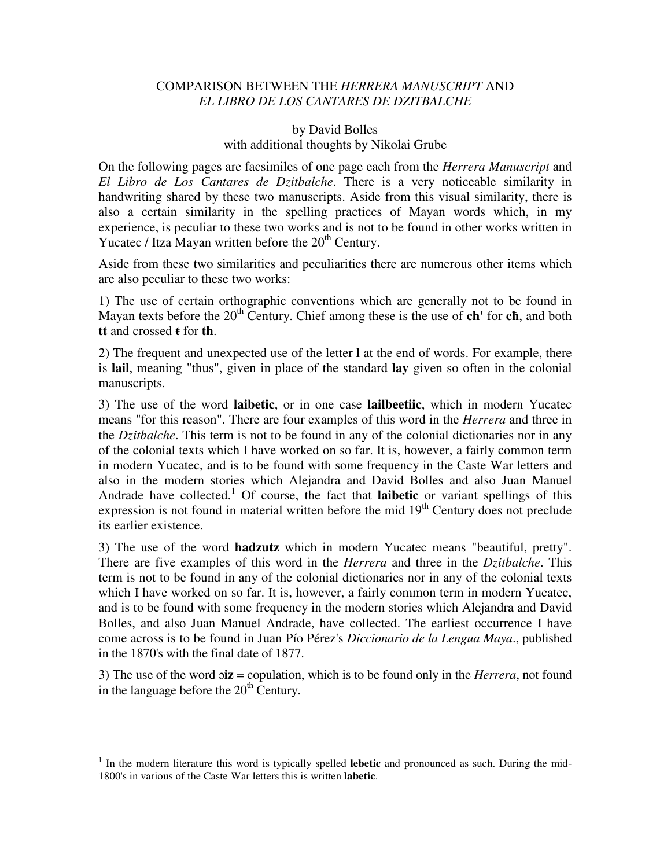## COMPARISON BETWEEN THE *HERRERA MANUSCRIPT* AND *EL LIBRO DE LOS CANTARES DE DZITBALCHE*

# by David Bolles with additional thoughts by Nikolai Grube

On the following pages are facsimiles of one page each from the *Herrera Manuscript* and *El Libro de Los Cantares de Dzitbalche*. There is a very noticeable similarity in handwriting shared by these two manuscripts. Aside from this visual similarity, there is also a certain similarity in the spelling practices of Mayan words which, in my experience, is peculiar to these two works and is not to be found in other works written in Yucatec / Itza Mayan written before the  $20<sup>th</sup>$  Century.

Aside from these two similarities and peculiarities there are numerous other items which are also peculiar to these two works:

1) The use of certain orthographic conventions which are generally not to be found in Mayan texts before the 20<sup>th</sup> Century. Chief among these is the use of **ch'** for **ch**, and both **tt** and crossed **ŧ** for **th**.

2) The frequent and unexpected use of the letter **l** at the end of words. For example, there is **lail**, meaning "thus", given in place of the standard **lay** given so often in the colonial manuscripts.

3) The use of the word **laibetic**, or in one case **lailbeetiic**, which in modern Yucatec means "for this reason". There are four examples of this word in the *Herrera* and three in the *Dzitbalche*. This term is not to be found in any of the colonial dictionaries nor in any of the colonial texts which I have worked on so far. It is, however, a fairly common term in modern Yucatec, and is to be found with some frequency in the Caste War letters and also in the modern stories which Alejandra and David Bolles and also Juan Manuel Andrade have collected.<sup>1</sup> Of course, the fact that **laibetic** or variant spellings of this expression is not found in material written before the mid  $19<sup>th</sup>$  Century does not preclude its earlier existence.

3) The use of the word **hadzutz** which in modern Yucatec means "beautiful, pretty". There are five examples of this word in the *Herrera* and three in the *Dzitbalche*. This term is not to be found in any of the colonial dictionaries nor in any of the colonial texts which I have worked on so far. It is, however, a fairly common term in modern Yucatec, and is to be found with some frequency in the modern stories which Alejandra and David Bolles, and also Juan Manuel Andrade, have collected. The earliest occurrence I have come across is to be found in Juan Pío Pérez's *Diccionario de la Lengua Maya*., published in the 1870's with the final date of 1877.

3) The use of the word ɔ**iz** = copulation, which is to be found only in the *Herrera*, not found in the language before the  $20<sup>th</sup>$  Century.

 $\overline{a}$ 

<sup>&</sup>lt;sup>1</sup> In the modern literature this word is typically spelled **lebetic** and pronounced as such. During the mid-1800's in various of the Caste War letters this is written **labetic**.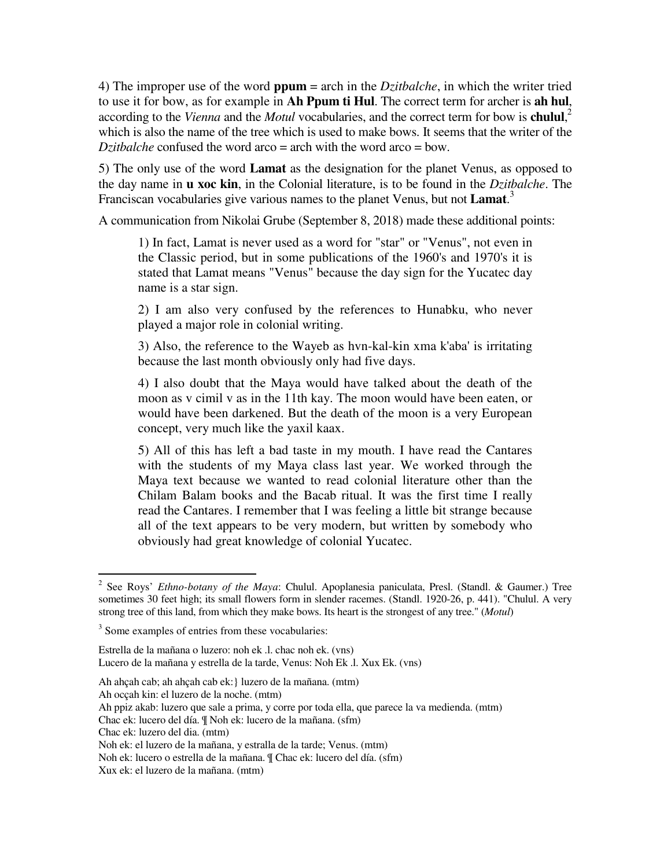4) The improper use of the word **ppum** = arch in the *Dzitbalche*, in which the writer tried to use it for bow, as for example in **Ah Ppum ti Hul**. The correct term for archer is **ah hul**, according to the *Vienna* and the *Motul* vocabularies, and the correct term for bow is **chulul**, 2 which is also the name of the tree which is used to make bows. It seems that the writer of the *Dzitbalche* confused the word arco = arch with the word arco = bow.

5) The only use of the word **Lamat** as the designation for the planet Venus, as opposed to the day name in **u xoc kin**, in the Colonial literature, is to be found in the *Dzitbalche*. The Franciscan vocabularies give various names to the planet Venus, but not **Lamat**. 3

A communication from Nikolai Grube (September 8, 2018) made these additional points:

1) In fact, Lamat is never used as a word for "star" or "Venus", not even in the Classic period, but in some publications of the 1960's and 1970's it is stated that Lamat means "Venus" because the day sign for the Yucatec day name is a star sign.

2) I am also very confused by the references to Hunabku, who never played a major role in colonial writing.

3) Also, the reference to the Wayeb as hvn-kal-kin xma k'aba' is irritating because the last month obviously only had five days.

4) I also doubt that the Maya would have talked about the death of the moon as v cimil v as in the 11th kay. The moon would have been eaten, or would have been darkened. But the death of the moon is a very European concept, very much like the yaxil kaax.

5) All of this has left a bad taste in my mouth. I have read the Cantares with the students of my Maya class last year. We worked through the Maya text because we wanted to read colonial literature other than the Chilam Balam books and the Bacab ritual. It was the first time I really read the Cantares. I remember that I was feeling a little bit strange because all of the text appears to be very modern, but written by somebody who obviously had great knowledge of colonial Yucatec.

 2 See Roys' *Ethno-botany of the Maya*: Chulul. Apoplanesia paniculata, Presl. (Standl. & Gaumer.) Tree sometimes 30 feet high; its small flowers form in slender racemes. (Standl. 1920-26, p. 441). "Chulul. A very strong tree of this land, from which they make bows. Its heart is the strongest of any tree." (*Motul*)

<sup>&</sup>lt;sup>3</sup> Some examples of entries from these vocabularies:

Estrella de la mañana o luzero: noh ek .l. chac noh ek. (vns) Lucero de la mañana y estrella de la tarde, Venus: Noh Ek .l. Xux Ek. (vns)

Ah ahçah cab; ah ahçah cab ek:} luzero de la mañana. (mtm)

Ah ocçah kin: el luzero de la noche. (mtm)

Ah ppiz akab: luzero que sale a prima, y corre por toda ella, que parece la va medienda. (mtm)

Chac ek: lucero del día. ¶ Noh ek: lucero de la mañana. (sfm)

Chac ek: luzero del dia. (mtm)

Noh ek: el luzero de la mañana, y estralla de la tarde; Venus. (mtm)

Noh ek: lucero o estrella de la mañana. ¶ Chac ek: lucero del día. (sfm)

Xux ek: el luzero de la mañana. (mtm)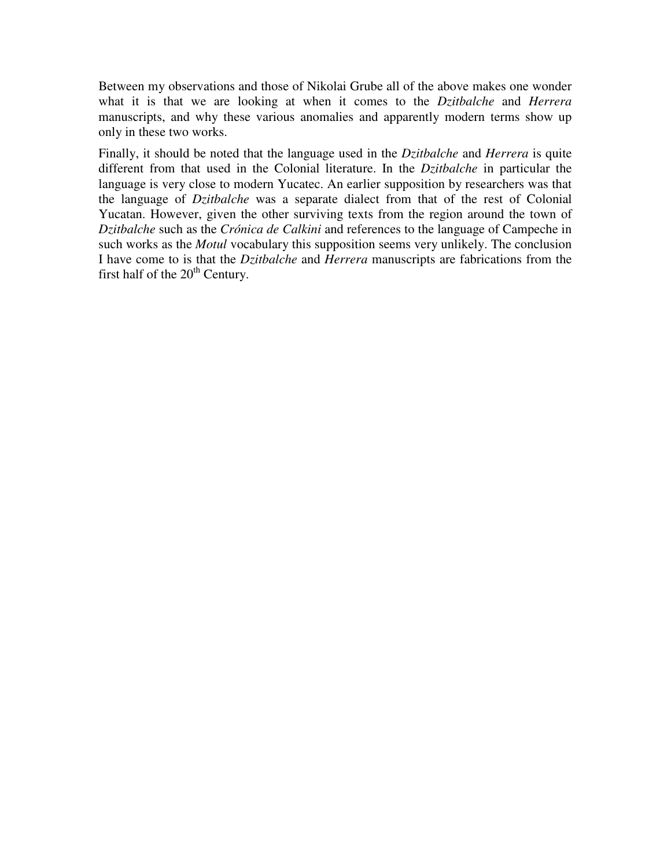Between my observations and those of Nikolai Grube all of the above makes one wonder what it is that we are looking at when it comes to the *Dzitbalche* and *Herrera* manuscripts, and why these various anomalies and apparently modern terms show up only in these two works.

Finally, it should be noted that the language used in the *Dzitbalche* and *Herrera* is quite different from that used in the Colonial literature. In the *Dzitbalche* in particular the language is very close to modern Yucatec. An earlier supposition by researchers was that the language of *Dzitbalche* was a separate dialect from that of the rest of Colonial Yucatan. However, given the other surviving texts from the region around the town of *Dzitbalche* such as the *Crónica de Calkini* and references to the language of Campeche in such works as the *Motul* vocabulary this supposition seems very unlikely. The conclusion I have come to is that the *Dzitbalche* and *Herrera* manuscripts are fabrications from the first half of the  $20<sup>th</sup>$  Century.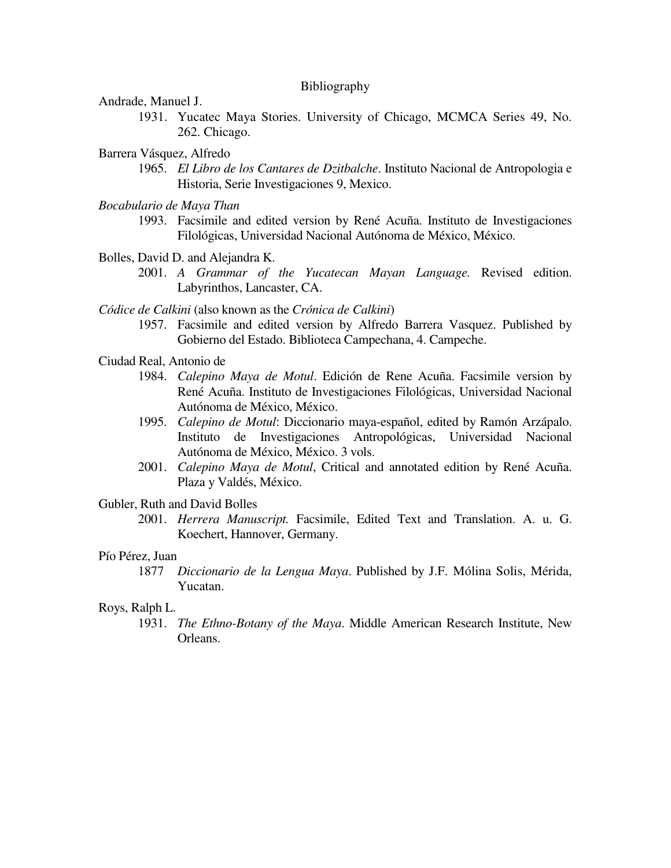#### Bibliography

Andrade, Manuel J.

- 1931. Yucatec Maya Stories. University of Chicago, MCMCA Series 49, No. 262. Chicago.
- Barrera Vásquez, Alfredo
	- 1965. *El Libro de los Cantares de Dzitbalche*. Instituto Nacional de Antropologia e Historia, Serie Investigaciones 9, Mexico.
- *Bocabulario de Maya Than*
	- 1993. Facsimile and edited version by René Acuña. Instituto de Investigaciones Filológicas, Universidad Nacional Autónoma de México, México.
- Bolles, David D. and Alejandra K.
	- 2001. *A Grammar of the Yucatecan Mayan Language.* Revised edition. Labyrinthos, Lancaster, CA.
- *Códice de Calkini* (also known as the *Crónica de Calkini*)
	- 1957. Facsimile and edited version by Alfredo Barrera Vasquez. Published by Gobierno del Estado. Biblioteca Campechana, 4. Campeche.
- Ciudad Real, Antonio de
	- 1984. *Calepino Maya de Motul*. Edición de Rene Acuña. Facsimile version by René Acuña. Instituto de Investigaciones Filológicas, Universidad Nacional Autónoma de México, México.
	- 1995. *Calepino de Motul*: Diccionario maya-español, edited by Ramón Arzápalo. Instituto de Investigaciones Antropológicas, Universidad Nacional Autónoma de México, México. 3 vols.
	- 2001. *Calepino Maya de Motul*, Critical and annotated edition by René Acuña. Plaza y Valdés, México.

Gubler, Ruth and David Bolles

2001. *Herrera Manuscript.* Facsimile, Edited Text and Translation. A. u. G. Koechert, Hannover, Germany.

### Pío Pérez, Juan

1877 *Diccionario de la Lengua Maya*. Published by J.F. Mólina Solis, Mérida, Yucatan.

### Roys, Ralph L.

 1931. *The Ethno-Botany of the Maya*. Middle American Research Institute, New Orleans.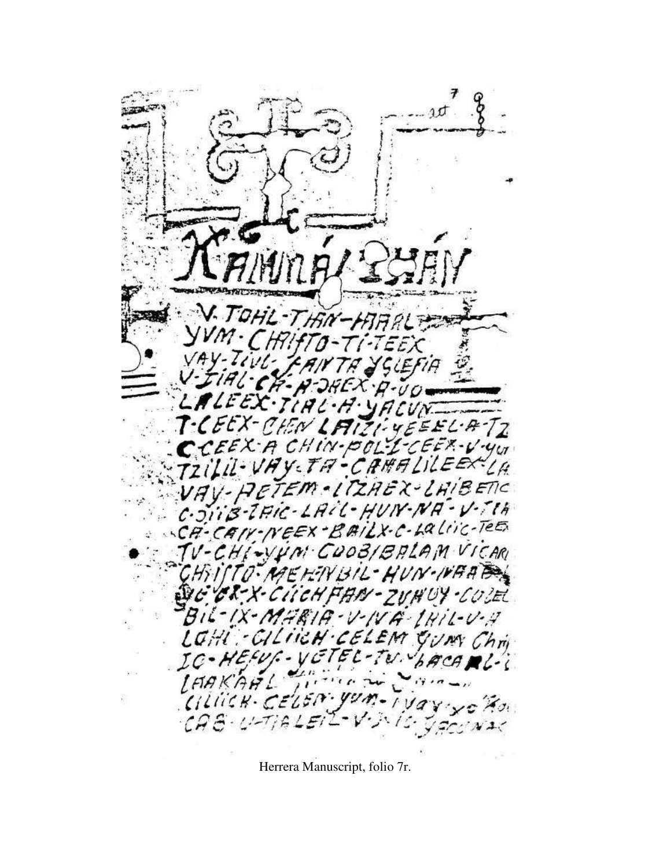CEEX-CEEN  $71.4E$ A CHIN-POLY-CEEX-V-YUT EX-BAILX-C-Laliic-TEES  $CH(-VV/n)$ COOBIBALAM VICARI **MO. MEHIN BIL-HUN-NAADEL** BECK-X-CHICKFAN-ZUNUY-COLEL BIL-IX-MARIA-V-IVA-IHIL-V-A LOHI : CILIICH CELEM GUN Ching  $\mathcal{I}\mathcal{C}$ LAAKAAL Cillick-CELEN-yum  $11$  $\times$  2  $\times$  3.  $CAG$  $N-1$ 

Herrera Manuscript, folio 7r.